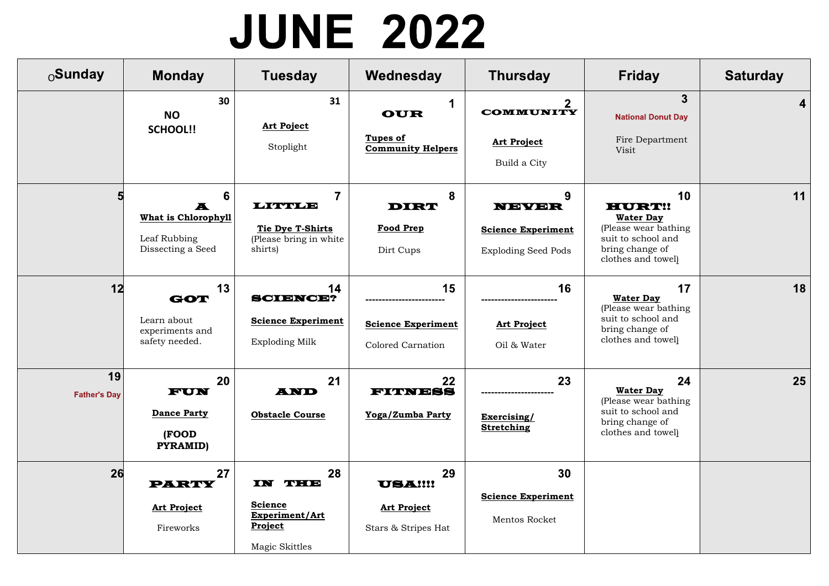## **JUNE 2022**

| $_0$ Sunday               | <b>Monday</b>                                                                                         | <b>Tuesday</b>                                                                       | Wednesday                                                         | <b>Thursday</b>                                                        | <b>Friday</b>                                                                                                                  | <b>Saturday</b> |
|---------------------------|-------------------------------------------------------------------------------------------------------|--------------------------------------------------------------------------------------|-------------------------------------------------------------------|------------------------------------------------------------------------|--------------------------------------------------------------------------------------------------------------------------------|-----------------|
|                           | 30<br><b>NO</b><br><b>SCHOOL!!</b>                                                                    | 31<br>Art Poject<br>Stoplight                                                        | 1<br><b>OUR</b><br>Tupes of<br><b>Community Helpers</b>           | $\mathbf{2}$<br><b>COMMUNITY</b><br><b>Art Project</b><br>Build a City | $\overline{3}$<br><b>National Donut Day</b><br>Fire Department<br>Visit                                                        | 4               |
|                           | $6\phantom{1}$<br>$\overline{\mathbf{A}}$<br>What is Chlorophyll<br>Leaf Rubbing<br>Dissecting a Seed | $\overline{7}$<br>LITTLE<br>Tie Dye T-Shirts<br>(Please bring in white)<br>shirts)   | 8<br><b>DIRT</b><br><b>Food Prep</b><br>Dirt Cups                 | 9<br>NEVER<br><b>Science Experiment</b><br><b>Exploding Seed Pods</b>  | 10<br><b>HURT!!</b><br><b>Water Day</b><br>(Please wear bathing<br>suit to school and<br>bring change of<br>clothes and towel) | 11              |
| 12                        | 13<br>GOT<br>Learn about<br>experiments and<br>safety needed.                                         | 14<br><b>SCIENCE?</b><br><b>Science Experiment</b><br><b>Exploding Milk</b>          | 15<br><b>Science Experiment</b><br>Colored Carnation              | 16<br><b>Art Project</b><br>Oil & Water                                | 17<br><b>Water Day</b><br>(Please wear bathing<br>suit to school and<br>bring change of<br>clothes and towel)                  | 18              |
| 19<br><b>Father's Day</b> | 20<br>FUN<br>Dance Party<br>(FOOD<br><b>PYRAMID)</b>                                                  | 21<br><b>AND</b><br><b>Obstacle Course</b>                                           | 22<br>FIJNESS<br>Yoga/Zumba Party                                 | 23<br>Exercising/<br><b>Stretching</b>                                 | 24<br><b>Water Day</b><br>(Please wear bathing<br>suit to school and<br>bring change of<br>clothes and towel)                  | 25              |
| 26                        | 27<br><b>PARTY</b><br><b>Art Project</b><br>Fireworks                                                 | 28<br><b>IN DHE</b><br><b>Science</b><br>Experiment/Art<br>Project<br>Magic Skittles | 29<br><b>USA!!!!</b><br><b>Art Project</b><br>Stars & Stripes Hat | 30<br><b>Science Experiment</b><br>Mentos Rocket                       |                                                                                                                                |                 |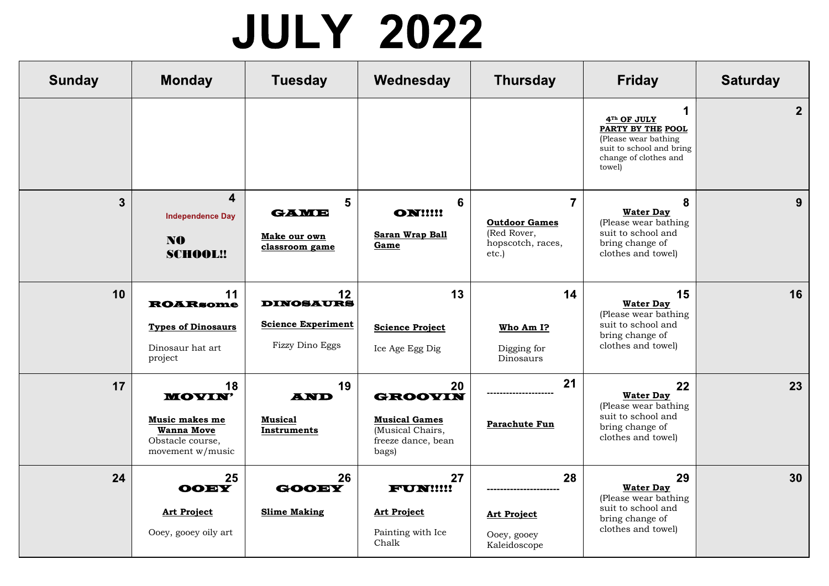## **JULY 2022**

| <b>Sunday</b> | <b>Monday</b>                                                                                      | <b>Tuesday</b>                                                                        | Wednesday                                                                                       | <b>Thursday</b>                                                                     | <b>Friday</b>                                                                                                                                       | <b>Saturday</b> |
|---------------|----------------------------------------------------------------------------------------------------|---------------------------------------------------------------------------------------|-------------------------------------------------------------------------------------------------|-------------------------------------------------------------------------------------|-----------------------------------------------------------------------------------------------------------------------------------------------------|-----------------|
|               |                                                                                                    |                                                                                       |                                                                                                 |                                                                                     | $\mathbf 1$<br>4 <sup>Th</sup> OF JULY<br>PARTY BY THE POOL<br>(Please wear bathing)<br>suit to school and bring<br>change of clothes and<br>towel) | 2 <sup>1</sup>  |
| $\mathbf{3}$  | 4<br><b>Independence Day</b><br>N <sub>0</sub><br><b>SCHOOL!!</b>                                  | 5<br><b>GAME</b><br>Make our own<br>classroom game                                    | 6<br><b>ONI!!!!</b><br>Saran Wrap Ball<br>Game                                                  | $\overline{7}$<br><b>Outdoor Games</b><br>(Red Rover,<br>hopscotch, races,<br>etc.) | 8<br><b>Water Day</b><br>(Please wear bathing<br>suit to school and<br>bring change of<br>clothes and towel)                                        | 9               |
| 10            | 11<br><b>ROARsome</b><br><b>Types of Dinosaurs</b><br>Dinosaur hat art<br>project                  | $12 \overline{ }$<br><b>DINOSAURS</b><br><b>Science Experiment</b><br>Fizzy Dino Eggs | 13<br><b>Science Project</b><br>Ice Age Egg Dig                                                 | 14<br>Who Am I?<br>Digging for<br>Dinosaurs                                         | 15<br><b>Water Day</b><br>(Please wear bathing<br>suit to school and<br>bring change of<br>clothes and towel)                                       | 16              |
| 17            | 18<br><b>MOYIN'</b><br>Music makes me<br><b>Wanna Move</b><br>Obstacle course,<br>movement w/music | 19<br><b>AND</b><br><b>Musical</b><br>Instruments                                     | 20<br><b>GROOVIN</b><br><b>Musical Games</b><br>(Musical Chairs,<br>freeze dance, bean<br>bags) | 21<br><b>Parachute Fun</b>                                                          | 22<br><b>Water Day</b><br>(Please wear bathing<br>suit to school and<br>bring change of<br>clothes and towel)                                       | 23              |
| 24            | 25<br><b>OOEY</b><br><b>Art Project</b><br>Ooey, gooey oily art                                    | 26<br><b>GOOEY</b><br><b>Slime Making</b>                                             | 27<br><b>FUN!!!!!</b><br><b>Art Project</b><br>Painting with Ice<br>Chalk                       | 28<br><b>Art Project</b><br>Ooey, gooey<br>Kaleidoscope                             | 29<br><b>Water Day</b><br>(Please wear bathing<br>suit to school and<br>bring change of<br>clothes and towel)                                       | 30              |